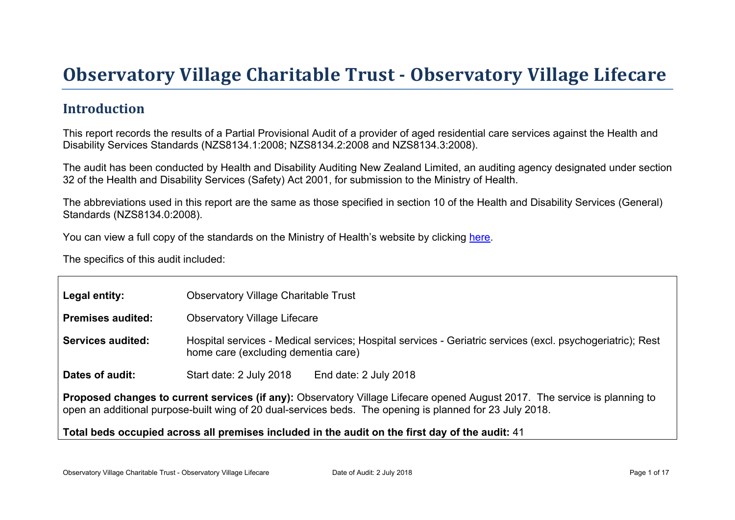# Obser vator y Village Charitable Tr ust - Obser vator y Village Lifecar e

### Introduction

This report records the results of a Partial Provisional Audit of a provider of aged residential care services against the Health and Disability Services Standards (NZS8134.1:2008; NZS8134.2:2008 and NZS8134.3:2008).

The audit has been conducted by Health and Disability Auditing New Zealand Limited, an auditing agency designated under section 32 of the Health and Disability Services (Safety) Act 2001, for submission to the Ministry of Health.

The abbreviations used in this report are the same as those specified in section 10 of the Health and Disability Services (General) Standards (NZS8134.0:2008).

You can view a full copy of the standards on the Ministry of Health's website by clicking [here.](http://www.health.govt.nz/our-work/regulation-health-and-disability-system/certification-health-care-services/health-and-disability-services-standards)

The specifics of this audit included:

| Legal entity:                                                                                                                                                                                                                          | <b>Observatory Village Charitable Trust</b>                                                                                                       |  |  |  |  |
|----------------------------------------------------------------------------------------------------------------------------------------------------------------------------------------------------------------------------------------|---------------------------------------------------------------------------------------------------------------------------------------------------|--|--|--|--|
| Premises audited:                                                                                                                                                                                                                      | <b>Observatory Village Lifecare</b>                                                                                                               |  |  |  |  |
| Services audited:                                                                                                                                                                                                                      | Hospital services - Medical services; Hospital services - Geriatric services (excl. psychogeriatric); Rest<br>home care (excluding dementia care) |  |  |  |  |
| Dates of audit:                                                                                                                                                                                                                        | Start date: 2 July 2018<br>End date: 2 July 2018                                                                                                  |  |  |  |  |
| Proposed changes to current services (if any): Observatory Village Lifecare opened August 2017. The service is planning to<br>open an additional purpose-built wing of 20 dual-services beds. The opening is planned for 23 July 2018. |                                                                                                                                                   |  |  |  |  |
|                                                                                                                                                                                                                                        | Total beds occupied across all premises included<br>in the audit on the first day of the audit: 41                                                |  |  |  |  |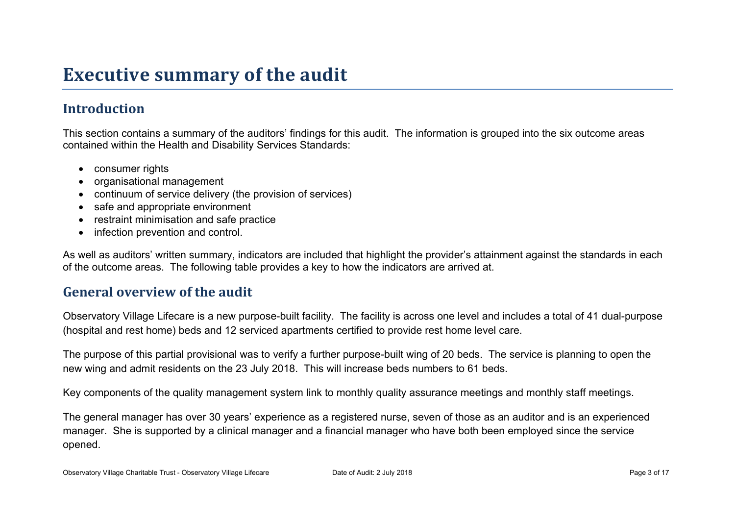## **Executive summary of the audit**

### **Introduction**

This section contains a summary of the auditors' findings for this audit. The information is grouped into the six outcome areas contained within the Health and Disability Services Standards:

- consumer rights
- organisational management
- continuum of service delivery (the provision of services)
- safe and appropriate environment
- restraint minimisation and safe practice
- infection prevention and control.

As well as auditors' written summary, indicators are included that highlight the provider's attainment against the standards in each of the outcome areas. The following table provides a key to how the indicators are arrived at.

#### **General overview of the audit**

Observatory Village Lifecare is a new purpose-built facility. The facility is across one level and includes a total of 41 dual-purpose (hospital and rest home) beds and 12 serviced apartments certified to provide rest home level care.

The purpose of this partial provisional was to verify a further purpose-built wing of 20 beds. The service is planning to open the new wing and admit residents on the 23 July 2018. This will increase beds numbers to 61 beds.

Key components of the quality management system link to monthly quality assurance meetings and monthly staff meetings.

The general manager has over 30 years' experience as a registered nurse, seven of those as an auditor and is an experienced manager. She is supported by a clinical manager and a financial manager who have both been employed since the service opened.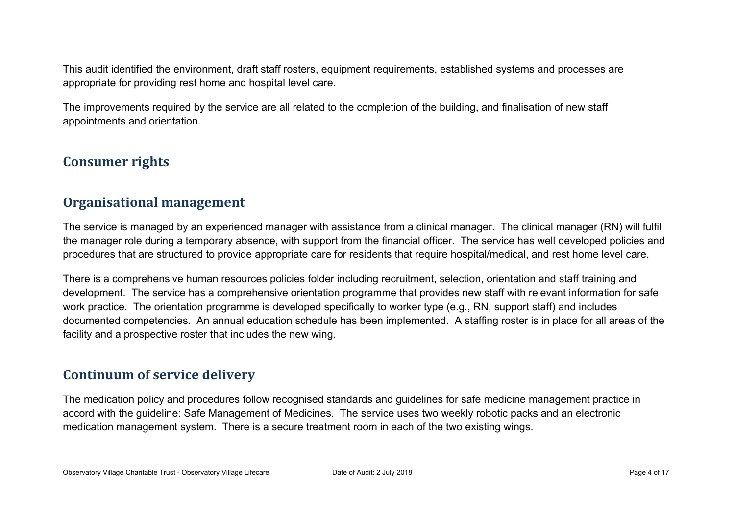This audit identified the environment, draft staff rosters, equipment requirements, established systems and processes are appropriate for providing rest home and hospital level care.

The improvements required by the service are all related to the completion of the building, and finalisation of new staff appointments and orientation.

#### **Consumer rights**

#### **Organisational management**

The service is managed by an experienced manager with assistance from a clinical manager. The clinical manager (RN) will fulfil the manager role during a temporary absence, with support from the financial officer. The service has well developed policies and procedures that are structured to provide appropriate care for residents that require hospital/medical, and rest home level care.

There is a comprehensive human resources policies folder including recruitment, selection, orientation and staff training and development. The service has a comprehensive orientation programme that provides new staff with relevant information for safe work practice. The orientation programme is developed specifically to worker type (e.g., RN, support staff) and includes documented competencies. An annual education schedule has been implemented. A staffing roster is in place for all areas of the facility and a prospective roster that includes the new wing.

#### **Continuum of service delivery**

The medication policy and procedures follow recognised standards and guidelines for safe medicine management practice in accord with the guideline: Safe Management of Medicines. The service uses two weekly robotic packs and an electronic medication management system. There is a secure treatment room in each of the two existing wings.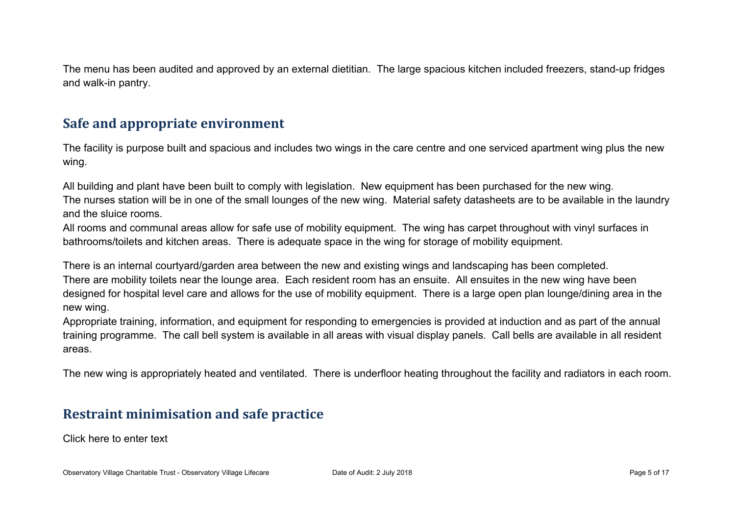The menu has been audited and approved by an external dietitian. The large spacious kitchen included freezers, stand-up fridges and walk-in pantry.

#### **Safe and appropriate environment**

The facility is purpose built and spacious and includes two wings in the care centre and one serviced apartment wing plus the new wing.

All building and plant have been built to comply with legislation. New equipment has been purchased for the new wing. The nurses station will be in one of the small lounges of the new wing. Material safety datasheets are to be available in the laundry and the sluice rooms.

All rooms and communal areas allow for safe use of mobility equipment. The wing has carpet throughout with vinyl surfaces in bathrooms/toilets and kitchen areas. There is adequate space in the wing for storage of mobility equipment.

There is an internal courtyard/garden area between the new and existing wings and landscaping has been completed. There are mobility toilets near the lounge area. Each resident room has an ensuite. All ensuites in the new wing have been designed for hospital level care and allows for the use of mobility equipment. There is a large open plan lounge/dining area in the new wing.

Appropriate training, information, and equipment for responding to emergencies is provided at induction and as part of the annual training programme. The call bell system is available in all areas with visual display panels. Call bells are available in all resident areas.

The new wing is appropriately heated and ventilated. There is underfloor heating throughout the facility and radiators in each room.

#### **Restraint minimisation and safe practice**

Click here to enter text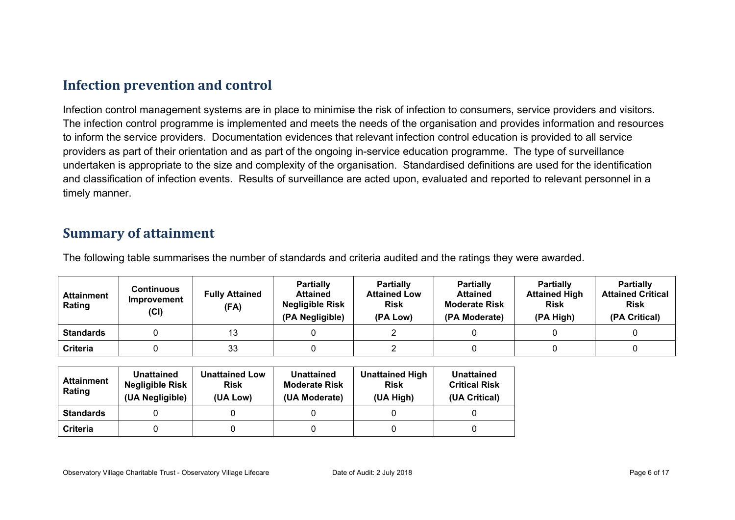#### **Infection prevention and control**

Infection control management systems are in place to minimise the risk of infection to consumers, service providers and visitors. The infection control programme is implemented and meets the needs of the organisation and provides information and resources to inform the service providers. Documentation evidences that relevant infection control education is provided to all service providers as part of their orientation and as part of the ongoing in-service education programme. The type of surveillance undertaken is appropriate to the size and complexity of the organisation. Standardised definitions are used for the identification and classification of infection events. Results of surveillance are acted upon, evaluated and reported to relevant personnel in a timely manner.

#### **Summary of attainment**

The following table summarises the number of standards and criteria audited and the ratings they were awarded.

| <b>Attainment</b><br>Rating | Continuous<br>Improvement<br>(Cl) | <b>Fully Attained</b><br>(FA) | <b>Partially</b><br><b>Attained</b><br><b>Negligible Risk</b><br>(PA Negligible) | <b>Partially</b><br><b>Attained Low</b><br><b>Risk</b><br>(PA Low) | <b>Partially</b><br><b>Attained</b><br><b>Moderate Risk</b><br>(PA Moderate) | <b>Partially</b><br><b>Attained High</b><br><b>Risk</b><br>(PA High) | <b>Partially</b><br><b>Attained Critical</b><br><b>Risk</b><br>(PA Critical) |
|-----------------------------|-----------------------------------|-------------------------------|----------------------------------------------------------------------------------|--------------------------------------------------------------------|------------------------------------------------------------------------------|----------------------------------------------------------------------|------------------------------------------------------------------------------|
| <b>Standards</b>            |                                   | 13                            |                                                                                  |                                                                    |                                                                              |                                                                      |                                                                              |
| <b>Criteria</b>             |                                   | 33                            |                                                                                  |                                                                    |                                                                              |                                                                      |                                                                              |

| Attainment<br>Rating | <b>Unattained</b><br><b>Negligible Risk</b><br>(UA Negligible) | <b>Unattained Low</b><br><b>Risk</b><br>(UA Low) | <b>Unattained</b><br><b>Moderate Risk</b><br>(UA Moderate) | <b>Unattained High</b><br><b>Risk</b><br>(UA High) | <b>Unattained</b><br><b>Critical Risk</b><br>(UA Critical) |
|----------------------|----------------------------------------------------------------|--------------------------------------------------|------------------------------------------------------------|----------------------------------------------------|------------------------------------------------------------|
| <b>Standards</b>     |                                                                |                                                  |                                                            |                                                    |                                                            |
| <b>Criteria</b>      |                                                                |                                                  |                                                            |                                                    |                                                            |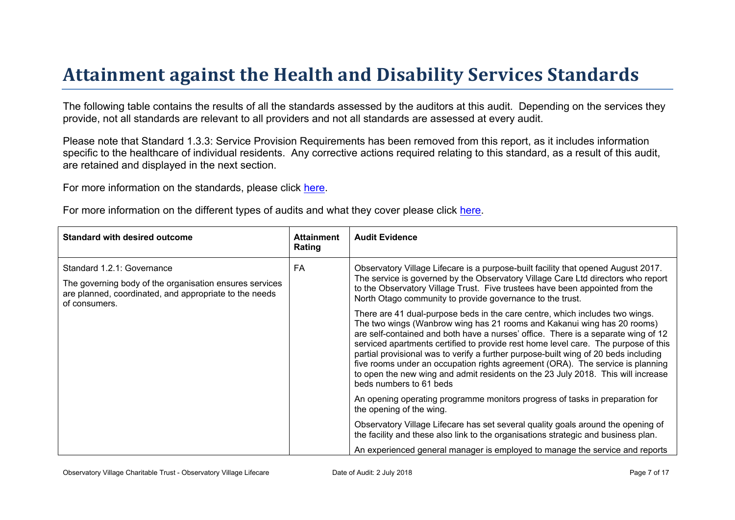# Attainment against the Health and Disability Ser vices Standar ds

The following table contains the results of all the standards assessed by the auditors at this audit. Depending on the services they provide, not all standards are relevant to all providers and not all standards are assessed at every audit.

Please note that Standard 1.3.3: Service Provision Requirements has been removed from this report, as it includes information specific to the healthcare of individual residents. Any corrective actions required relating to this standard, as a result of this audit. are retained and displayed in the next section.

For more information on the standards, please click [here](http://www.health.govt.nz/our-work/regulation-health-and-disability-system/certification-health-care-services/health-and-disability-services-standards).

For more information on the different types of audits and what they cover please click [here.](http://www.health.govt.nz/your-health/services-and-support/health-care-services/services-older-people/rest-home-certification-and-audits)

| Standard with desired outcome                                                                                                                                    | Attainment<br>Rating | Audit Evidence                                                                                                                                                                                                                                                                                                                                                                                                                                                                                                                                                                                                                                                                                                                                                                                                                                                                                                                                                                                                                                                                                                                                                                                                                                                                                                         |
|------------------------------------------------------------------------------------------------------------------------------------------------------------------|----------------------|------------------------------------------------------------------------------------------------------------------------------------------------------------------------------------------------------------------------------------------------------------------------------------------------------------------------------------------------------------------------------------------------------------------------------------------------------------------------------------------------------------------------------------------------------------------------------------------------------------------------------------------------------------------------------------------------------------------------------------------------------------------------------------------------------------------------------------------------------------------------------------------------------------------------------------------------------------------------------------------------------------------------------------------------------------------------------------------------------------------------------------------------------------------------------------------------------------------------------------------------------------------------------------------------------------------------|
| Standard 1.2.1: Governance<br>The governing body of the organisation ensures services<br>are planned, coordinated, and appropriate to the needs<br>of consumers. | FA                   | Observatory Village Lifecare is a purpose-built facility that opened August 2017.<br>The service is governed by the Observatory Village Care Ltd directors who report<br>to the Observatory Village Trust. Five trustees have been appointed from the<br>North Otago community to provide governance to the trust.<br>There are 41 dual-purpose beds in the care centre, which includes two wings.<br>The two wings (Wanbrow wing has 21 rooms and Kakanui wing has 20 rooms)<br>are self-contained and both have a nurses' office. There is a separate wing of 12<br>serviced apartments certified to provide rest home level care. The purpose of this<br>partial provisional was to verify a further purpose-built wing of 20 beds including<br>five rooms under an occupation rights agreement (ORA). The service is planning<br>to open the new wing and admit residents on the 23 July 2018. This will increase<br>beds numbers to 61 beds<br>An opening operating programme monitors progress of tasks in preparation for<br>the opening of the wing.<br>Observatory Village Lifecare has set several quality goals around the opening of<br>the facility and these also link to the organisations strategic and business plan.<br>An experienced general manager is employed to manage the service and reports |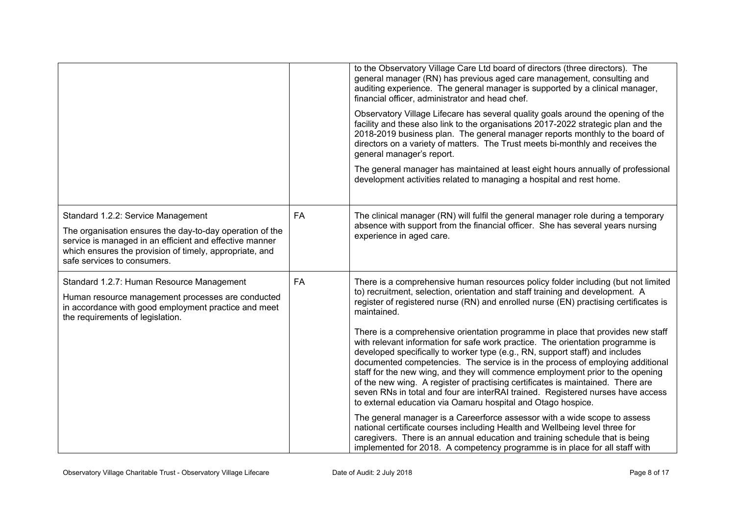|                                                                                                                                                                                                                                                     |           | to the Observatory Village Care Ltd board of directors (three directors). The<br>general manager (RN) has previous aged care management, consulting and<br>auditing experience. The general manager is supported by a clinical manager,<br>financial officer, administrator and head chef.<br>Observatory Village Lifecare has several quality goals around the opening of the<br>facility and these also link to the organisations 2017-2022 strategic plan and the<br>2018-2019 business plan. The general manager reports monthly to the board of<br>directors on a variety of matters. The Trust meets bi-monthly and receives the<br>general manager's report.<br>The general manager has maintained at least eight hours annually of professional<br>development activities related to managing a hospital and rest home.                                                                                                                                                                                                                                                                                                                                                                                                                                     |
|-----------------------------------------------------------------------------------------------------------------------------------------------------------------------------------------------------------------------------------------------------|-----------|---------------------------------------------------------------------------------------------------------------------------------------------------------------------------------------------------------------------------------------------------------------------------------------------------------------------------------------------------------------------------------------------------------------------------------------------------------------------------------------------------------------------------------------------------------------------------------------------------------------------------------------------------------------------------------------------------------------------------------------------------------------------------------------------------------------------------------------------------------------------------------------------------------------------------------------------------------------------------------------------------------------------------------------------------------------------------------------------------------------------------------------------------------------------------------------------------------------------------------------------------------------------|
| Standard 1.2.2: Service Management<br>The organisation ensures the day-to-day operation of the<br>service is managed in an efficient and effective manner<br>which ensures the provision of timely, appropriate, and<br>safe services to consumers. | <b>FA</b> | The clinical manager (RN) will fulfil the general manager role during a temporary<br>absence with support from the financial officer. She has several years nursing<br>experience in aged care.                                                                                                                                                                                                                                                                                                                                                                                                                                                                                                                                                                                                                                                                                                                                                                                                                                                                                                                                                                                                                                                                     |
| Standard 1.2.7: Human Resource Management<br>Human resource management processes are conducted<br>in accordance with good employment practice and meet<br>the requirements of legislation.                                                          | <b>FA</b> | There is a comprehensive human resources policy folder including (but not limited<br>to) recruitment, selection, orientation and staff training and development. A<br>register of registered nurse (RN) and enrolled nurse (EN) practising certificates is<br>maintained.<br>There is a comprehensive orientation programme in place that provides new staff<br>with relevant information for safe work practice. The orientation programme is<br>developed specifically to worker type (e.g., RN, support staff) and includes<br>documented competencies. The service is in the process of employing additional<br>staff for the new wing, and they will commence employment prior to the opening<br>of the new wing. A register of practising certificates is maintained. There are<br>seven RNs in total and four are interRAI trained. Registered nurses have access<br>to external education via Oamaru hospital and Otago hospice.<br>The general manager is a Careerforce assessor with a wide scope to assess<br>national certificate courses including Health and Wellbeing level three for<br>caregivers. There is an annual education and training schedule that is being<br>implemented for 2018. A competency programme is in place for all staff with |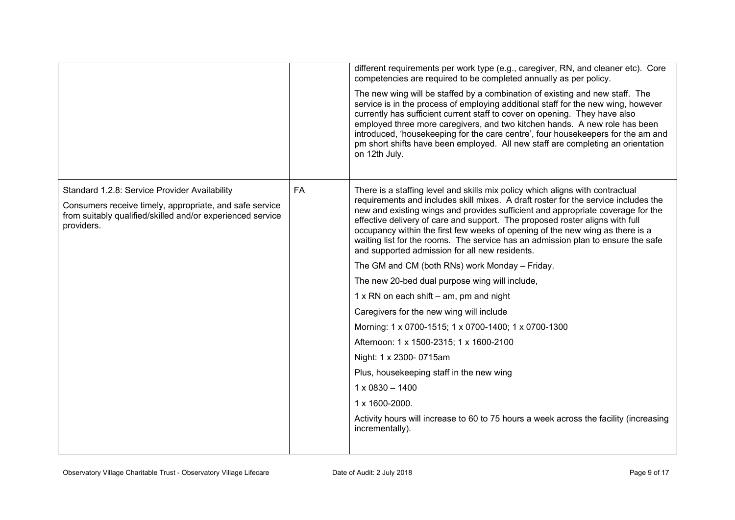|                                                                                                                                                                                      |           | different requirements per work type (e.g., caregiver, RN, and cleaner etc). Core<br>competencies are required to be completed annually as per policy.<br>The new wing will be staffed by a combination of existing and new staff. The<br>service is in the process of employing additional staff for the new wing, however<br>currently has sufficient current staff to cover on opening. They have also<br>employed three more caregivers, and two kitchen hands. A new role has been<br>introduced, 'housekeeping for the care centre', four housekeepers for the am and<br>pm short shifts have been employed. All new staff are completing an orientation<br>on 12th July.                                |
|--------------------------------------------------------------------------------------------------------------------------------------------------------------------------------------|-----------|----------------------------------------------------------------------------------------------------------------------------------------------------------------------------------------------------------------------------------------------------------------------------------------------------------------------------------------------------------------------------------------------------------------------------------------------------------------------------------------------------------------------------------------------------------------------------------------------------------------------------------------------------------------------------------------------------------------|
| Standard 1.2.8: Service Provider Availability<br>Consumers receive timely, appropriate, and safe service<br>from suitably qualified/skilled and/or experienced service<br>providers. | <b>FA</b> | There is a staffing level and skills mix policy which aligns with contractual<br>requirements and includes skill mixes. A draft roster for the service includes the<br>new and existing wings and provides sufficient and appropriate coverage for the<br>effective delivery of care and support. The proposed roster aligns with full<br>occupancy within the first few weeks of opening of the new wing as there is a<br>waiting list for the rooms. The service has an admission plan to ensure the safe<br>and supported admission for all new residents.<br>The GM and CM (both RNs) work Monday - Friday.<br>The new 20-bed dual purpose wing will include,<br>1 x RN on each shift $-$ am, pm and night |
|                                                                                                                                                                                      |           | Caregivers for the new wing will include<br>Morning: 1 x 0700-1515; 1 x 0700-1400; 1 x 0700-1300<br>Afternoon: 1 x 1500-2315; 1 x 1600-2100<br>Night: 1 x 2300- 0715am<br>Plus, housekeeping staff in the new wing<br>$1 \times 0830 - 1400$<br>1 x 1600-2000.<br>Activity hours will increase to 60 to 75 hours a week across the facility (increasing<br>incrementally).                                                                                                                                                                                                                                                                                                                                     |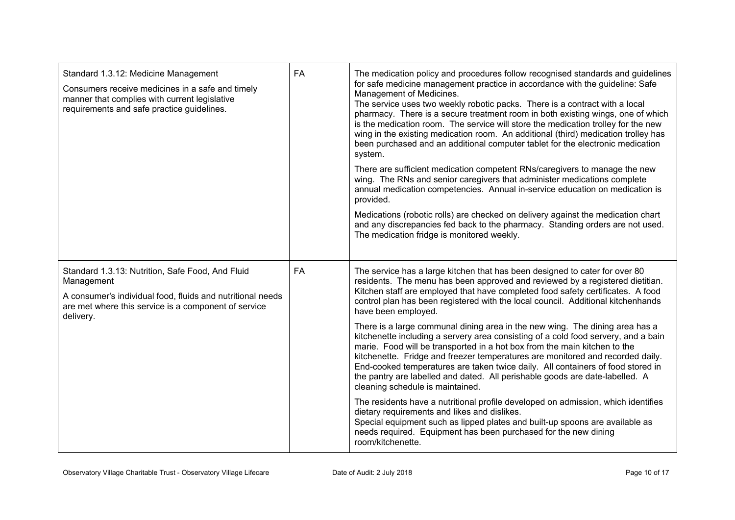| FA<br>Standard 1.3.12: Medicine Management<br>Consumers receive medicines in a safe and timely<br>manner that complies with current legislative<br>requirements and safe practice guidelines.     |           | The medication policy and procedures follow recognised standards and guidelines<br>for safe medicine management practice in accordance with the guideline: Safe<br>Management of Medicines.<br>The service uses two weekly robotic packs. There is a contract with a local<br>pharmacy. There is a secure treatment room in both existing wings, one of which<br>is the medication room. The service will store the medication trolley for the new<br>wing in the existing medication room. An additional (third) medication trolley has<br>been purchased and an additional computer tablet for the electronic medication<br>system.<br>There are sufficient medication competent RNs/caregivers to manage the new<br>wing. The RNs and senior caregivers that administer medications complete<br>annual medication competencies. Annual in-service education on medication is<br>provided.<br>Medications (robotic rolls) are checked on delivery against the medication chart<br>and any discrepancies fed back to the pharmacy. Standing orders are not used.<br>The medication fridge is monitored weekly.                                                                                                     |
|---------------------------------------------------------------------------------------------------------------------------------------------------------------------------------------------------|-----------|---------------------------------------------------------------------------------------------------------------------------------------------------------------------------------------------------------------------------------------------------------------------------------------------------------------------------------------------------------------------------------------------------------------------------------------------------------------------------------------------------------------------------------------------------------------------------------------------------------------------------------------------------------------------------------------------------------------------------------------------------------------------------------------------------------------------------------------------------------------------------------------------------------------------------------------------------------------------------------------------------------------------------------------------------------------------------------------------------------------------------------------------------------------------------------------------------------------------|
| Standard 1.3.13: Nutrition, Safe Food, And Fluid<br>Management<br>A consumer's individual food, fluids and nutritional needs<br>are met where this service is a component of service<br>delivery. | <b>FA</b> | The service has a large kitchen that has been designed to cater for over 80<br>residents. The menu has been approved and reviewed by a registered dietitian.<br>Kitchen staff are employed that have completed food safety certificates. A food<br>control plan has been registered with the local council. Additional kitchenhands<br>have been employed.<br>There is a large communal dining area in the new wing. The dining area has a<br>kitchenette including a servery area consisting of a cold food servery, and a bain<br>marie. Food will be transported in a hot box from the main kitchen to the<br>kitchenette. Fridge and freezer temperatures are monitored and recorded daily.<br>End-cooked temperatures are taken twice daily. All containers of food stored in<br>the pantry are labelled and dated. All perishable goods are date-labelled. A<br>cleaning schedule is maintained.<br>The residents have a nutritional profile developed on admission, which identifies<br>dietary requirements and likes and dislikes.<br>Special equipment such as lipped plates and built-up spoons are available as<br>needs required. Equipment has been purchased for the new dining<br>room/kitchenette. |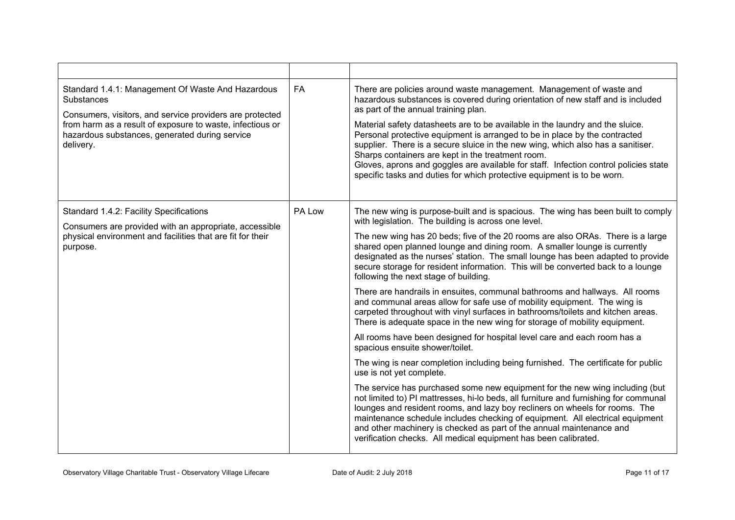| Standard 1.4.1: Management Of Waste And Hazardous<br>Substances<br>Consumers, visitors, and service providers are protected<br>from harm as a result of exposure to waste, infectious or<br>hazardous substances, generated during service<br>delivery. | <b>FA</b> | There are policies around waste management. Management of waste and<br>hazardous substances is covered during orientation of new staff and is included<br>as part of the annual training plan.<br>Material safety datasheets are to be available in the laundry and the sluice.<br>Personal protective equipment is arranged to be in place by the contracted<br>supplier. There is a secure sluice in the new wing, which also has a sanitiser.<br>Sharps containers are kept in the treatment room.<br>Gloves, aprons and goggles are available for staff. Infection control policies state<br>specific tasks and duties for which protective equipment is to be worn.                                                                                                                                                                                                                                                                                                                                                                                                                                                                                                                                                                                                                                                                                                                                                                                                                                                                                              |
|---------------------------------------------------------------------------------------------------------------------------------------------------------------------------------------------------------------------------------------------------------|-----------|-----------------------------------------------------------------------------------------------------------------------------------------------------------------------------------------------------------------------------------------------------------------------------------------------------------------------------------------------------------------------------------------------------------------------------------------------------------------------------------------------------------------------------------------------------------------------------------------------------------------------------------------------------------------------------------------------------------------------------------------------------------------------------------------------------------------------------------------------------------------------------------------------------------------------------------------------------------------------------------------------------------------------------------------------------------------------------------------------------------------------------------------------------------------------------------------------------------------------------------------------------------------------------------------------------------------------------------------------------------------------------------------------------------------------------------------------------------------------------------------------------------------------------------------------------------------------|
| Standard 1.4.2: Facility Specifications<br>Consumers are provided with an appropriate, accessible<br>physical environment and facilities that are fit for their<br>purpose.                                                                             | PA Low    | The new wing is purpose-built and is spacious. The wing has been built to comply<br>with legislation. The building is across one level.<br>The new wing has 20 beds; five of the 20 rooms are also ORAs. There is a large<br>shared open planned lounge and dining room. A smaller lounge is currently<br>designated as the nurses' station. The small lounge has been adapted to provide<br>secure storage for resident information. This will be converted back to a lounge<br>following the next stage of building.<br>There are handrails in ensuites, communal bathrooms and hallways. All rooms<br>and communal areas allow for safe use of mobility equipment. The wing is<br>carpeted throughout with vinyl surfaces in bathrooms/toilets and kitchen areas.<br>There is adequate space in the new wing for storage of mobility equipment.<br>All rooms have been designed for hospital level care and each room has a<br>spacious ensuite shower/toilet.<br>The wing is near completion including being furnished. The certificate for public<br>use is not yet complete.<br>The service has purchased some new equipment for the new wing including (but<br>not limited to) PI mattresses, hi-lo beds, all furniture and furnishing for communal<br>lounges and resident rooms, and lazy boy recliners on wheels for rooms. The<br>maintenance schedule includes checking of equipment. All electrical equipment<br>and other machinery is checked as part of the annual maintenance and<br>verification checks. All medical equipment has been calibrated. |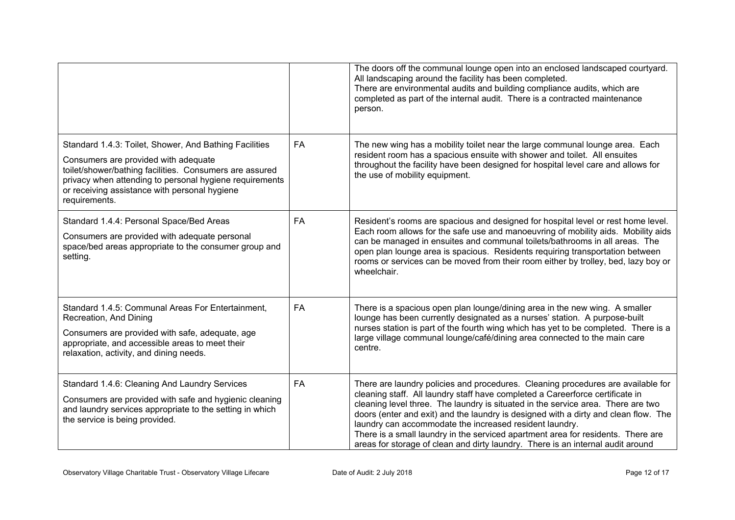|                                                                                                                                                                                                                                                                                        |           | The doors off the communal lounge open into an enclosed landscaped courtyard.<br>All landscaping around the facility has been completed.<br>There are environmental audits and building compliance audits, which are<br>completed as part of the internal audit. There is a contracted maintenance<br>person.                                                                                                                                                                                                                                                                  |
|----------------------------------------------------------------------------------------------------------------------------------------------------------------------------------------------------------------------------------------------------------------------------------------|-----------|--------------------------------------------------------------------------------------------------------------------------------------------------------------------------------------------------------------------------------------------------------------------------------------------------------------------------------------------------------------------------------------------------------------------------------------------------------------------------------------------------------------------------------------------------------------------------------|
| Standard 1.4.3: Toilet, Shower, And Bathing Facilities<br>Consumers are provided with adequate<br>toilet/shower/bathing facilities. Consumers are assured<br>privacy when attending to personal hygiene requirements<br>or receiving assistance with personal hygiene<br>requirements. | <b>FA</b> | The new wing has a mobility toilet near the large communal lounge area. Each<br>resident room has a spacious ensuite with shower and toilet. All ensuites<br>throughout the facility have been designed for hospital level care and allows for<br>the use of mobility equipment.                                                                                                                                                                                                                                                                                               |
| Standard 1.4.4: Personal Space/Bed Areas<br>Consumers are provided with adequate personal<br>space/bed areas appropriate to the consumer group and<br>setting.                                                                                                                         | FA        | Resident's rooms are spacious and designed for hospital level or rest home level.<br>Each room allows for the safe use and manoeuvring of mobility aids. Mobility aids<br>can be managed in ensuites and communal toilets/bathrooms in all areas. The<br>open plan lounge area is spacious. Residents requiring transportation between<br>rooms or services can be moved from their room either by trolley, bed, lazy boy or<br>wheelchair.                                                                                                                                    |
| Standard 1.4.5: Communal Areas For Entertainment,<br>Recreation, And Dining<br>Consumers are provided with safe, adequate, age<br>appropriate, and accessible areas to meet their<br>relaxation, activity, and dining needs.                                                           | <b>FA</b> | There is a spacious open plan lounge/dining area in the new wing. A smaller<br>lounge has been currently designated as a nurses' station. A purpose-built<br>nurses station is part of the fourth wing which has yet to be completed. There is a<br>large village communal lounge/café/dining area connected to the main care<br>centre.                                                                                                                                                                                                                                       |
| Standard 1.4.6: Cleaning And Laundry Services<br>Consumers are provided with safe and hygienic cleaning<br>and laundry services appropriate to the setting in which<br>the service is being provided.                                                                                  | <b>FA</b> | There are laundry policies and procedures. Cleaning procedures are available for<br>cleaning staff. All laundry staff have completed a Careerforce certificate in<br>cleaning level three. The laundry is situated in the service area. There are two<br>doors (enter and exit) and the laundry is designed with a dirty and clean flow. The<br>laundry can accommodate the increased resident laundry.<br>There is a small laundry in the serviced apartment area for residents. There are<br>areas for storage of clean and dirty laundry. There is an internal audit around |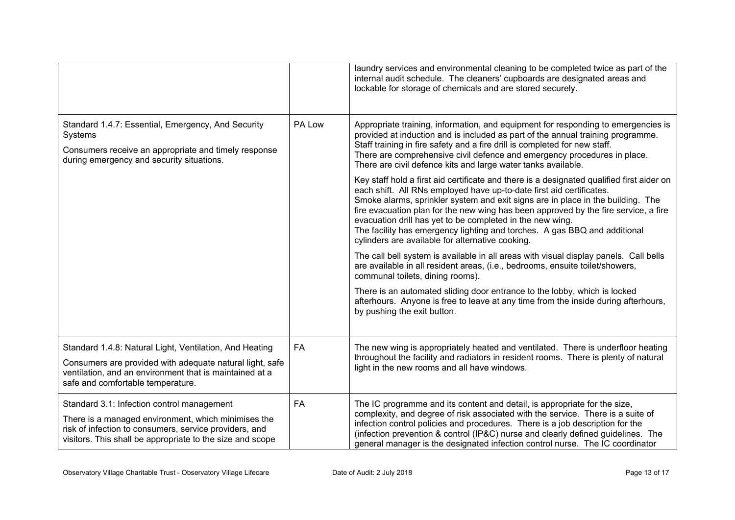|                                                                                                                                                                                                                          |           | laundry services and environmental cleaning to be completed twice as part of the<br>internal audit schedule. The cleaners' cupboards are designated areas and<br>lockable for storage of chemicals and are stored securely.                                                                                                                                                                                                                                                                                                               |
|--------------------------------------------------------------------------------------------------------------------------------------------------------------------------------------------------------------------------|-----------|-------------------------------------------------------------------------------------------------------------------------------------------------------------------------------------------------------------------------------------------------------------------------------------------------------------------------------------------------------------------------------------------------------------------------------------------------------------------------------------------------------------------------------------------|
| Standard 1.4.7: Essential, Emergency, And Security<br>Systems<br>Consumers receive an appropriate and timely response<br>during emergency and security situations.                                                       | PA Low    | Appropriate training, information, and equipment for responding to emergencies is<br>provided at induction and is included as part of the annual training programme.<br>Staff training in fire safety and a fire drill is completed for new staff.<br>There are comprehensive civil defence and emergency procedures in place.<br>There are civil defence kits and large water tanks available.                                                                                                                                           |
|                                                                                                                                                                                                                          |           | Key staff hold a first aid certificate and there is a designated qualified first aider on<br>each shift. All RNs employed have up-to-date first aid certificates.<br>Smoke alarms, sprinkler system and exit signs are in place in the building. The<br>fire evacuation plan for the new wing has been approved by the fire service, a fire<br>evacuation drill has yet to be completed in the new wing.<br>The facility has emergency lighting and torches. A gas BBQ and additional<br>cylinders are available for alternative cooking. |
|                                                                                                                                                                                                                          |           | The call bell system is available in all areas with visual display panels. Call bells<br>are available in all resident areas, (i.e., bedrooms, ensuite toilet/showers,<br>communal toilets, dining rooms).                                                                                                                                                                                                                                                                                                                                |
|                                                                                                                                                                                                                          |           | There is an automated sliding door entrance to the lobby, which is locked<br>afterhours. Anyone is free to leave at any time from the inside during afterhours,<br>by pushing the exit button.                                                                                                                                                                                                                                                                                                                                            |
| Standard 1.4.8: Natural Light, Ventilation, And Heating                                                                                                                                                                  | <b>FA</b> | The new wing is appropriately heated and ventilated. There is underfloor heating                                                                                                                                                                                                                                                                                                                                                                                                                                                          |
| Consumers are provided with adequate natural light, safe<br>ventilation, and an environment that is maintained at a<br>safe and comfortable temperature.                                                                 |           | throughout the facility and radiators in resident rooms. There is plenty of natural<br>light in the new rooms and all have windows.                                                                                                                                                                                                                                                                                                                                                                                                       |
| Standard 3.1: Infection control management<br>There is a managed environment, which minimises the<br>risk of infection to consumers, service providers, and<br>visitors. This shall be appropriate to the size and scope | FA        | The IC programme and its content and detail, is appropriate for the size,<br>complexity, and degree of risk associated with the service. There is a suite of<br>infection control policies and procedures. There is a job description for the<br>(infection prevention & control (IP&C) nurse and clearly defined guidelines. The<br>general manager is the designated infection control nurse. The IC coordinator                                                                                                                        |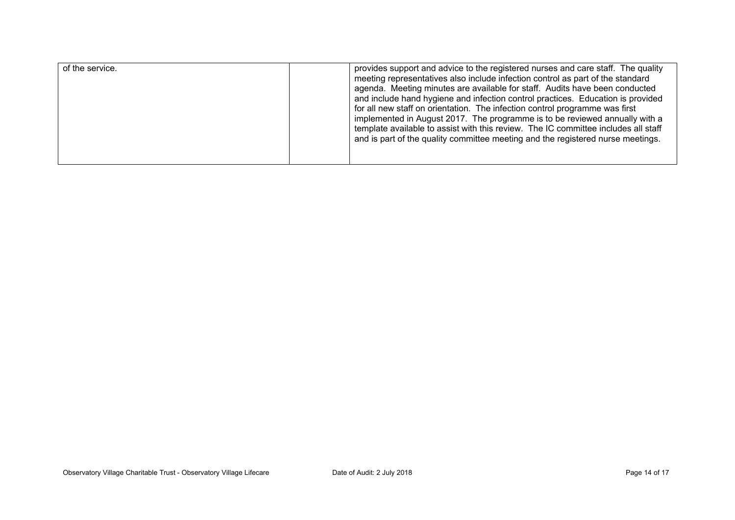| of the service. | provides support and advice to the registered nurses and care staff. The quality<br>meeting representatives also include infection control as part of the standard<br>agenda. Meeting minutes are available for staff. Audits have been conducted<br>and include hand hygiene and infection control practices. Education is provided<br>for all new staff on orientation. The infection control programme was first<br>implemented in August 2017. The programme is to be reviewed annually with a<br>template available to assist with this review. The IC committee includes all staff<br>and is part of the quality committee meeting and the registered nurse meetings. |
|-----------------|-----------------------------------------------------------------------------------------------------------------------------------------------------------------------------------------------------------------------------------------------------------------------------------------------------------------------------------------------------------------------------------------------------------------------------------------------------------------------------------------------------------------------------------------------------------------------------------------------------------------------------------------------------------------------------|
|                 |                                                                                                                                                                                                                                                                                                                                                                                                                                                                                                                                                                                                                                                                             |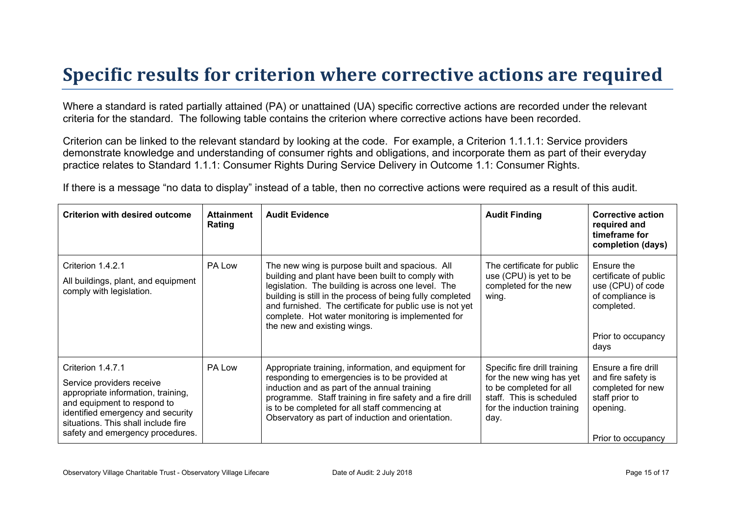### **Specific results for criterion where corrective actions are required**

Where a standard is rated partially attained (PA) or unattained (UA) specific corrective actions are recorded under the relevant criteria for the standard. The following table contains the criterion where corrective actions have been recorded.

Criterion can be linked to the relevant standard by looking at the code. For example, a Criterion 1.1.1.1: Service providers demonstrate knowledge and understanding of consumer rights and obligations, and incorporate them as part of their everyday practice relates to Standard 1.1.1: Consumer Rights During Service Delivery in Outcome 1.1: Consumer Rights.

If there is a message "no data to display" instead of a table, then no corrective actions were required as a result of this audit.

| <b>Criterion with desired outcome</b>                                                                                                                                                                                               | <b>Attainment</b><br>Rating | <b>Audit Evidence</b>                                                                                                                                                                                                                                                                                                                                                   | <b>Audit Finding</b>                                                                                                                                  | <b>Corrective action</b><br>required and<br>timeframe for<br>completion (days)                                           |
|-------------------------------------------------------------------------------------------------------------------------------------------------------------------------------------------------------------------------------------|-----------------------------|-------------------------------------------------------------------------------------------------------------------------------------------------------------------------------------------------------------------------------------------------------------------------------------------------------------------------------------------------------------------------|-------------------------------------------------------------------------------------------------------------------------------------------------------|--------------------------------------------------------------------------------------------------------------------------|
| Criterion 1.4.2.1<br>All buildings, plant, and equipment<br>comply with legislation.                                                                                                                                                | PA Low                      | The new wing is purpose built and spacious. All<br>building and plant have been built to comply with<br>legislation. The building is across one level. The<br>building is still in the process of being fully completed<br>and furnished. The certificate for public use is not yet<br>complete. Hot water monitoring is implemented for<br>the new and existing wings. | The certificate for public<br>use (CPU) is yet to be<br>completed for the new<br>wing.                                                                | Ensure the<br>certificate of public<br>use (CPU) of code<br>of compliance is<br>completed.<br>Prior to occupancy<br>days |
| Criterion 1.4.7.1<br>Service providers receive<br>appropriate information, training,<br>and equipment to respond to<br>identified emergency and security<br>situations. This shall include fire<br>safety and emergency procedures. | PA Low                      | Appropriate training, information, and equipment for<br>responding to emergencies is to be provided at<br>induction and as part of the annual training<br>programme. Staff training in fire safety and a fire drill<br>is to be completed for all staff commencing at<br>Observatory as part of induction and orientation.                                              | Specific fire drill training<br>for the new wing has yet<br>to be completed for all<br>staff. This is scheduled<br>for the induction training<br>day. | Ensure a fire drill<br>and fire safety is<br>completed for new<br>staff prior to<br>opening.<br>Prior to occupancy       |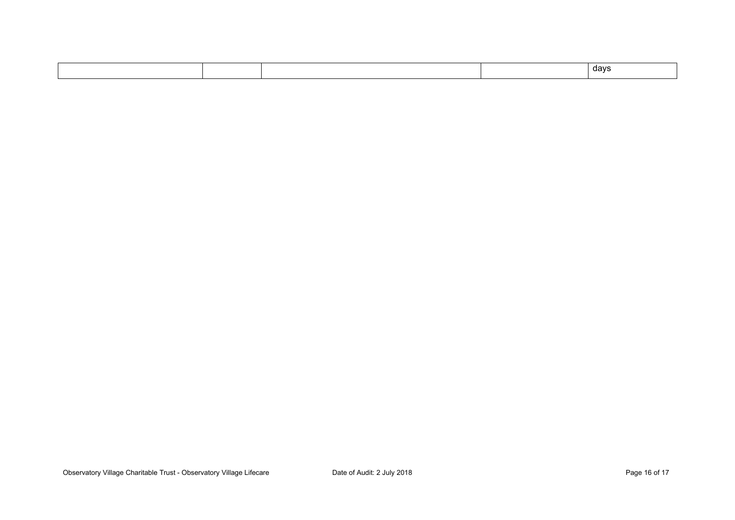|  |  |  |  | davs<br>. . |
|--|--|--|--|-------------|
|--|--|--|--|-------------|